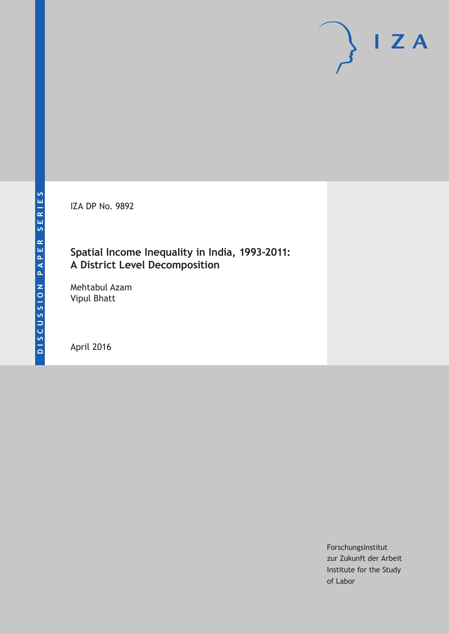IZA DP No. 9892

# **Spatial Income Inequality in India, 1993-2011: A District Level Decomposition**

Mehtabul Azam Vipul Bhatt

April 2016

Forschungsinstitut zur Zukunft der Arbeit Institute for the Study of Labor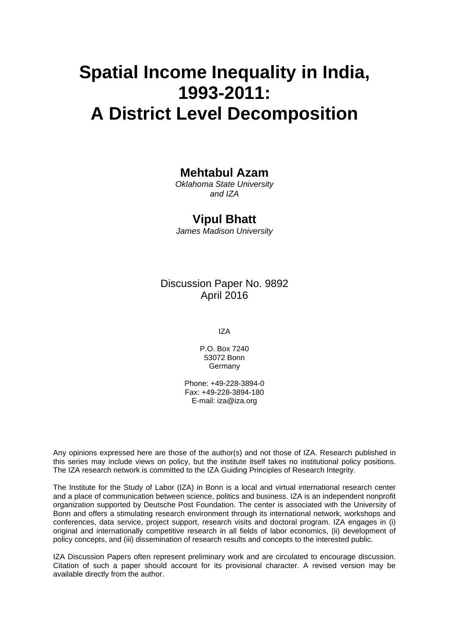# **Spatial Income Inequality in India, 1993-2011: A District Level Decomposition**

## **Mehtabul Azam**

*Oklahoma State University and IZA* 

## **Vipul Bhatt**

*James Madison University* 

## Discussion Paper No. 9892 April 2016

IZA

P.O. Box 7240 53072 Bonn **Germany** 

Phone: +49-228-3894-0 Fax: +49-228-3894-180 E-mail: iza@iza.org

Any opinions expressed here are those of the author(s) and not those of IZA. Research published in this series may include views on policy, but the institute itself takes no institutional policy positions. The IZA research network is committed to the IZA Guiding Principles of Research Integrity.

The Institute for the Study of Labor (IZA) in Bonn is a local and virtual international research center and a place of communication between science, politics and business. IZA is an independent nonprofit organization supported by Deutsche Post Foundation. The center is associated with the University of Bonn and offers a stimulating research environment through its international network, workshops and conferences, data service, project support, research visits and doctoral program. IZA engages in (i) original and internationally competitive research in all fields of labor economics, (ii) development of policy concepts, and (iii) dissemination of research results and concepts to the interested public.

IZA Discussion Papers often represent preliminary work and are circulated to encourage discussion. Citation of such a paper should account for its provisional character. A revised version may be available directly from the author.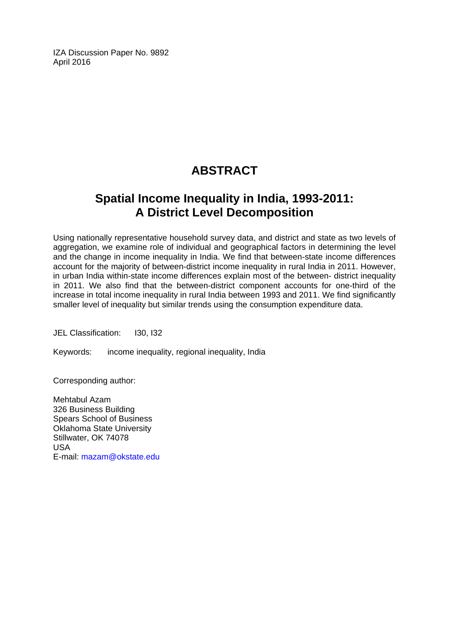IZA Discussion Paper No. 9892 April 2016

# **ABSTRACT**

# **Spatial Income Inequality in India, 1993-2011: A District Level Decomposition**

Using nationally representative household survey data, and district and state as two levels of aggregation, we examine role of individual and geographical factors in determining the level and the change in income inequality in India. We find that between-state income differences account for the majority of between-district income inequality in rural India in 2011. However, in urban India within-state income differences explain most of the between- district inequality in 2011. We also find that the between-district component accounts for one-third of the increase in total income inequality in rural India between 1993 and 2011. We find significantly smaller level of inequality but similar trends using the consumption expenditure data.

JEL Classification: I30, I32

Keywords: income inequality, regional inequality, India

Corresponding author:

Mehtabul Azam 326 Business Building Spears School of Business Oklahoma State University Stillwater, OK 74078 USA E-mail: mazam@okstate.edu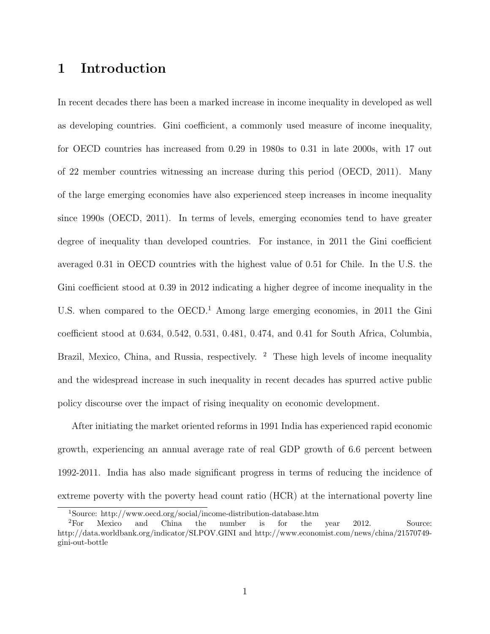## 1 Introduction

In recent decades there has been a marked increase in income inequality in developed as well as developing countries. Gini coefficient, a commonly used measure of income inequality, for OECD countries has increased from 0.29 in 1980s to 0.31 in late 2000s, with 17 out of 22 member countries witnessing an increase during this period (OECD, 2011). Many of the large emerging economies have also experienced steep increases in income inequality since 1990s (OECD, 2011). In terms of levels, emerging economies tend to have greater degree of inequality than developed countries. For instance, in 2011 the Gini coefficient averaged 0.31 in OECD countries with the highest value of 0.51 for Chile. In the U.S. the Gini coefficient stood at 0.39 in 2012 indicating a higher degree of income inequality in the U.S. when compared to the OECD.<sup>1</sup> Among large emerging economies, in 2011 the Gini coefficient stood at 0.634, 0.542, 0.531, 0.481, 0.474, and 0.41 for South Africa, Columbia, Brazil, Mexico, China, and Russia, respectively. <sup>2</sup> These high levels of income inequality and the widespread increase in such inequality in recent decades has spurred active public policy discourse over the impact of rising inequality on economic development.

After initiating the market oriented reforms in 1991 India has experienced rapid economic growth, experiencing an annual average rate of real GDP growth of 6.6 percent between 1992-2011. India has also made significant progress in terms of reducing the incidence of extreme poverty with the poverty head count ratio (HCR) at the international poverty line

<sup>1</sup>Source: http://www.oecd.org/social/income-distribution-database.htm

 ${}^{2}$ For Mexico and China the number is for the year 2012. Source: http://data.worldbank.org/indicator/SI.POV.GINI and http://www.economist.com/news/china/21570749 gini-out-bottle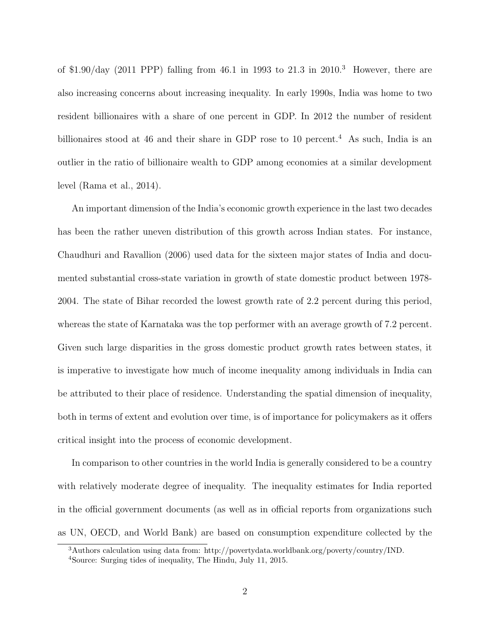of \$1.90/day (2011 PPP) falling from 46.1 in 1993 to  $21.3$  in  $2010<sup>3</sup>$  However, there are also increasing concerns about increasing inequality. In early 1990s, India was home to two resident billionaires with a share of one percent in GDP. In 2012 the number of resident billionaires stood at 46 and their share in GDP rose to 10 percent.<sup>4</sup> As such, India is an outlier in the ratio of billionaire wealth to GDP among economies at a similar development level (Rama et al., 2014).

An important dimension of the India's economic growth experience in the last two decades has been the rather uneven distribution of this growth across Indian states. For instance, Chaudhuri and Ravallion (2006) used data for the sixteen major states of India and documented substantial cross-state variation in growth of state domestic product between 1978- 2004. The state of Bihar recorded the lowest growth rate of 2.2 percent during this period, whereas the state of Karnataka was the top performer with an average growth of 7.2 percent. Given such large disparities in the gross domestic product growth rates between states, it is imperative to investigate how much of income inequality among individuals in India can be attributed to their place of residence. Understanding the spatial dimension of inequality, both in terms of extent and evolution over time, is of importance for policymakers as it offers critical insight into the process of economic development.

In comparison to other countries in the world India is generally considered to be a country with relatively moderate degree of inequality. The inequality estimates for India reported in the official government documents (as well as in official reports from organizations such as UN, OECD, and World Bank) are based on consumption expenditure collected by the

<sup>3</sup>Authors calculation using data from: http://povertydata.worldbank.org/poverty/country/IND.

<sup>4</sup>Source: Surging tides of inequality, The Hindu, July 11, 2015.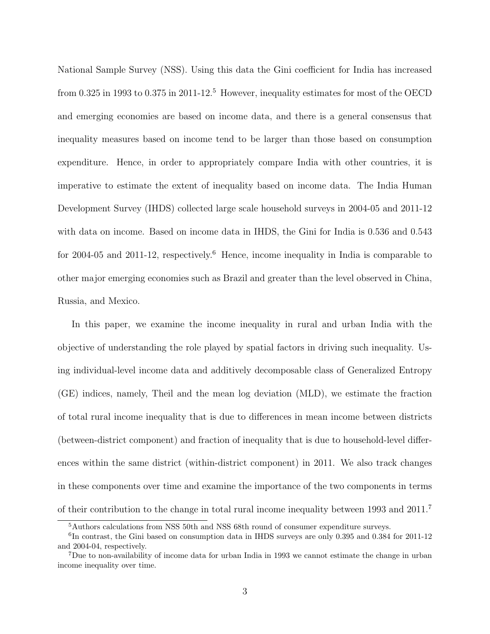National Sample Survey (NSS). Using this data the Gini coefficient for India has increased from 0.325 in 1993 to 0.375 in 2011-12.<sup>5</sup> However, inequality estimates for most of the OECD and emerging economies are based on income data, and there is a general consensus that inequality measures based on income tend to be larger than those based on consumption expenditure. Hence, in order to appropriately compare India with other countries, it is imperative to estimate the extent of inequality based on income data. The India Human Development Survey (IHDS) collected large scale household surveys in 2004-05 and 2011-12 with data on income. Based on income data in IHDS, the Gini for India is 0.536 and 0.543 for 2004-05 and 2011-12, respectively.<sup>6</sup> Hence, income inequality in India is comparable to other major emerging economies such as Brazil and greater than the level observed in China, Russia, and Mexico.

In this paper, we examine the income inequality in rural and urban India with the objective of understanding the role played by spatial factors in driving such inequality. Using individual-level income data and additively decomposable class of Generalized Entropy (GE) indices, namely, Theil and the mean log deviation (MLD), we estimate the fraction of total rural income inequality that is due to differences in mean income between districts (between-district component) and fraction of inequality that is due to household-level differences within the same district (within-district component) in 2011. We also track changes in these components over time and examine the importance of the two components in terms of their contribution to the change in total rural income inequality between 1993 and 2011.<sup>7</sup>

<sup>5</sup>Authors calculations from NSS 50th and NSS 68th round of consumer expenditure surveys.

<sup>&</sup>lt;sup>6</sup>In contrast, the Gini based on consumption data in IHDS surveys are only 0.395 and 0.384 for 2011-12 and 2004-04, respectively.

<sup>7</sup>Due to non-availability of income data for urban India in 1993 we cannot estimate the change in urban income inequality over time.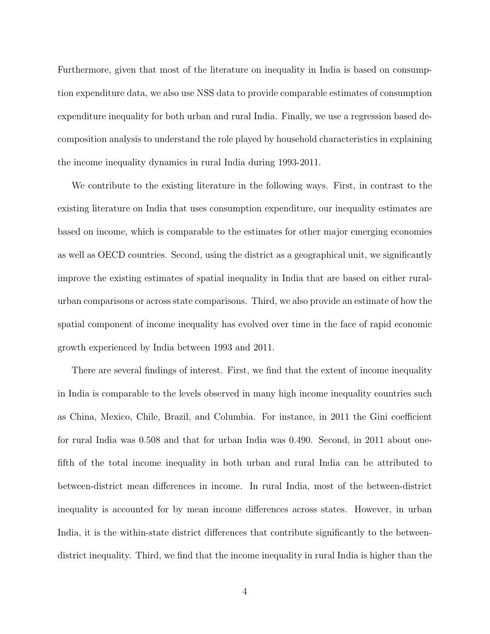Furthermore, given that most of the literature on inequality in India is based on consumption expenditure data, we also use NSS data to provide comparable estimates of consumption expenditure inequality for both urban and rural India. Finally, we use a regression based decomposition analysis to understand the role played by household characteristics in explaining the income inequality dynamics in rural India during 1993-2011.

We contribute to the existing literature in the following ways. First, in contrast to the existing literature on India that uses consumption expenditure, our inequality estimates are based on income, which is comparable to the estimates for other major emerging economies as well as OECD countries. Second, using the district as a geographical unit, we significantly improve the existing estimates of spatial inequality in India that are based on either ruralurban comparisons or across state comparisons. Third, we also provide an estimate of how the spatial component of income inequality has evolved over time in the face of rapid economic growth experienced by India between 1993 and 2011.

There are several findings of interest. First, we find that the extent of income inequality in India is comparable to the levels observed in many high income inequality countries such as China, Mexico, Chile, Brazil, and Columbia. For instance, in 2011 the Gini coefficient for rural India was 0.508 and that for urban India was 0.490. Second, in 2011 about onefifth of the total income inequality in both urban and rural India can be attributed to between-district mean differences in income. In rural India, most of the between-district inequality is accounted for by mean income differences across states. However, in urban India, it is the within-state district differences that contribute significantly to the betweendistrict inequality. Third, we find that the income inequality in rural India is higher than the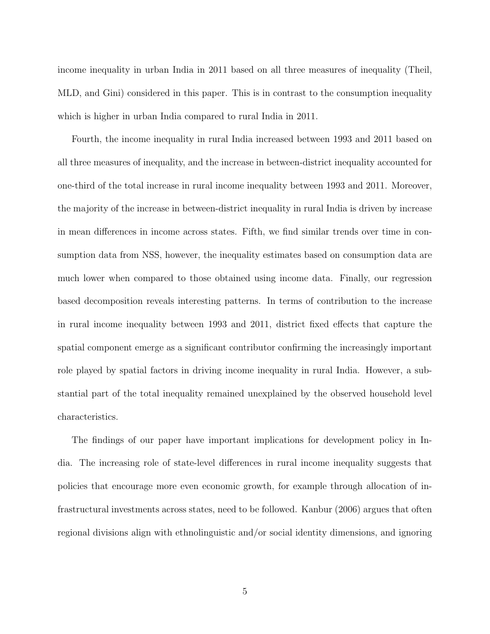income inequality in urban India in 2011 based on all three measures of inequality (Theil, MLD, and Gini) considered in this paper. This is in contrast to the consumption inequality which is higher in urban India compared to rural India in 2011.

Fourth, the income inequality in rural India increased between 1993 and 2011 based on all three measures of inequality, and the increase in between-district inequality accounted for one-third of the total increase in rural income inequality between 1993 and 2011. Moreover, the majority of the increase in between-district inequality in rural India is driven by increase in mean differences in income across states. Fifth, we find similar trends over time in consumption data from NSS, however, the inequality estimates based on consumption data are much lower when compared to those obtained using income data. Finally, our regression based decomposition reveals interesting patterns. In terms of contribution to the increase in rural income inequality between 1993 and 2011, district fixed effects that capture the spatial component emerge as a significant contributor confirming the increasingly important role played by spatial factors in driving income inequality in rural India. However, a substantial part of the total inequality remained unexplained by the observed household level characteristics.

The findings of our paper have important implications for development policy in India. The increasing role of state-level differences in rural income inequality suggests that policies that encourage more even economic growth, for example through allocation of infrastructural investments across states, need to be followed. Kanbur (2006) argues that often regional divisions align with ethnolinguistic and/or social identity dimensions, and ignoring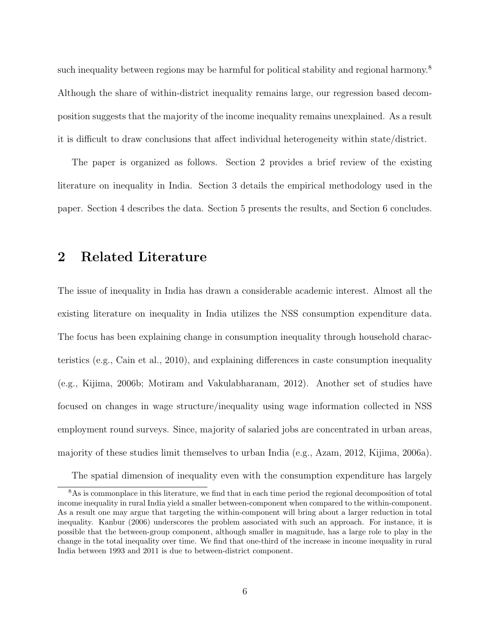such inequality between regions may be harmful for political stability and regional harmony.<sup>8</sup> Although the share of within-district inequality remains large, our regression based decomposition suggests that the majority of the income inequality remains unexplained. As a result it is difficult to draw conclusions that affect individual heterogeneity within state/district.

The paper is organized as follows. Section 2 provides a brief review of the existing literature on inequality in India. Section 3 details the empirical methodology used in the paper. Section 4 describes the data. Section 5 presents the results, and Section 6 concludes.

## 2 Related Literature

The issue of inequality in India has drawn a considerable academic interest. Almost all the existing literature on inequality in India utilizes the NSS consumption expenditure data. The focus has been explaining change in consumption inequality through household characteristics (e.g., Cain et al., 2010), and explaining differences in caste consumption inequality (e.g., Kijima, 2006b; Motiram and Vakulabharanam, 2012). Another set of studies have focused on changes in wage structure/inequality using wage information collected in NSS employment round surveys. Since, majority of salaried jobs are concentrated in urban areas, majority of these studies limit themselves to urban India (e.g., Azam, 2012, Kijima, 2006a).

The spatial dimension of inequality even with the consumption expenditure has largely

<sup>8</sup>As is commonplace in this literature, we find that in each time period the regional decomposition of total income inequality in rural India yield a smaller between-component when compared to the within-component. As a result one may argue that targeting the within-component will bring about a larger reduction in total inequality. Kanbur (2006) underscores the problem associated with such an approach. For instance, it is possible that the between-group component, although smaller in magnitude, has a large role to play in the change in the total inequality over time. We find that one-third of the increase in income inequality in rural India between 1993 and 2011 is due to between-district component.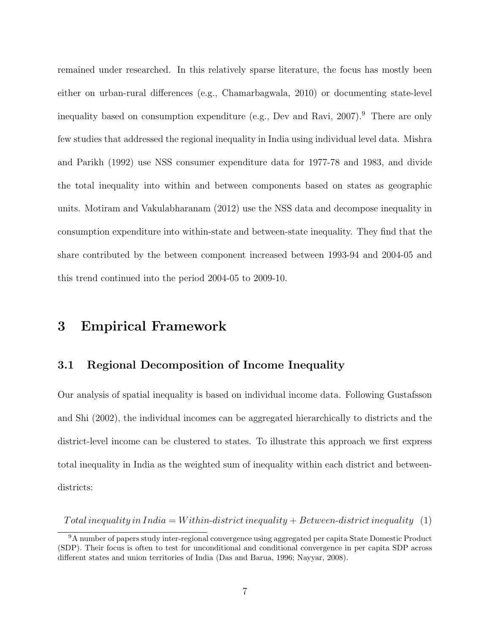remained under researched. In this relatively sparse literature, the focus has mostly been either on urban-rural differences (e.g., Chamarbagwala, 2010) or documenting state-level inequality based on consumption expenditure (e.g., Dev and Ravi,  $2007$ ).<sup>9</sup> There are only few studies that addressed the regional inequality in India using individual level data. Mishra and Parikh (1992) use NSS consumer expenditure data for 1977-78 and 1983, and divide the total inequality into within and between components based on states as geographic units. Motiram and Vakulabharanam (2012) use the NSS data and decompose inequality in consumption expenditure into within-state and between-state inequality. They find that the share contributed by the between component increased between 1993-94 and 2004-05 and this trend continued into the period 2004-05 to 2009-10.

## 3 Empirical Framework

#### 3.1 Regional Decomposition of Income Inequality

Our analysis of spatial inequality is based on individual income data. Following Gustafsson and Shi (2002), the individual incomes can be aggregated hierarchically to districts and the district-level income can be clustered to states. To illustrate this approach we first express total inequality in India as the weighted sum of inequality within each district and betweendistricts:

Total inequality in India = Within-district inequality + Between-district inequality (1)

<sup>9</sup>A number of papers study inter-regional convergence using aggregated per capita State Domestic Product (SDP). Their focus is often to test for unconditional and conditional convergence in per capita SDP across different states and union territories of India (Das and Barua, 1996; Nayyar, 2008).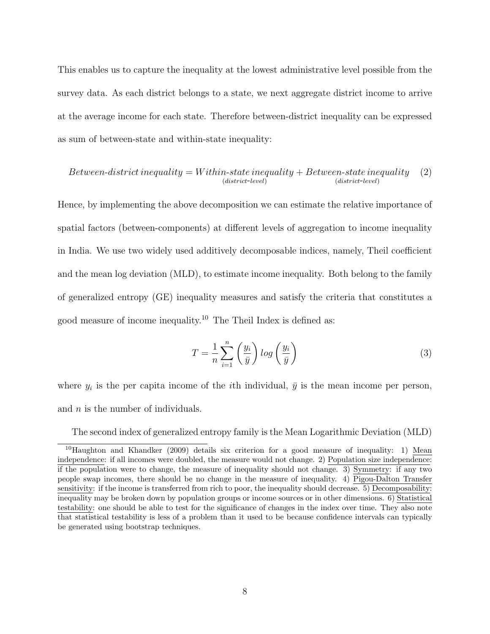This enables us to capture the inequality at the lowest administrative level possible from the survey data. As each district belongs to a state, we next aggregate district income to arrive at the average income for each state. Therefore between-district inequality can be expressed as sum of between-state and within-state inequality:

$$
Between-distributed inequality = Within-state inequality + Between-state inequality \quad (2)
$$
  

$$
\begin{array}{c}\n\text{(distinct-level)}\n\end{array}
$$

Hence, by implementing the above decomposition we can estimate the relative importance of spatial factors (between-components) at different levels of aggregation to income inequality in India. We use two widely used additively decomposable indices, namely, Theil coefficient and the mean log deviation (MLD), to estimate income inequality. Both belong to the family of generalized entropy (GE) inequality measures and satisfy the criteria that constitutes a good measure of income inequality.<sup>10</sup> The Theil Index is defined as:

$$
T = \frac{1}{n} \sum_{i=1}^{n} \left(\frac{y_i}{\bar{y}}\right) \log\left(\frac{y_i}{\bar{y}}\right)
$$
 (3)

where  $y_i$  is the per capita income of the *i*th individual,  $\bar{y}$  is the mean income per person, and  $n$  is the number of individuals.

The second index of generalized entropy family is the Mean Logarithmic Deviation (MLD)

<sup>10</sup>Haughton and Khandker (2009) details six criterion for a good measure of inequality: 1) Mean independence: if all incomes were doubled, the measure would not change. 2) Population size independence: if the population were to change, the measure of inequality should not change. 3) Symmetry: if any two people swap incomes, there should be no change in the measure of inequality. 4) Pigou-Dalton Transfer sensitivity: if the income is transferred from rich to poor, the inequality should decrease. 5) Decomposability: inequality may be broken down by population groups or income sources or in other dimensions. 6) Statistical testability: one should be able to test for the significance of changes in the index over time. They also note that statistical testability is less of a problem than it used to be because confidence intervals can typically be generated using bootstrap techniques.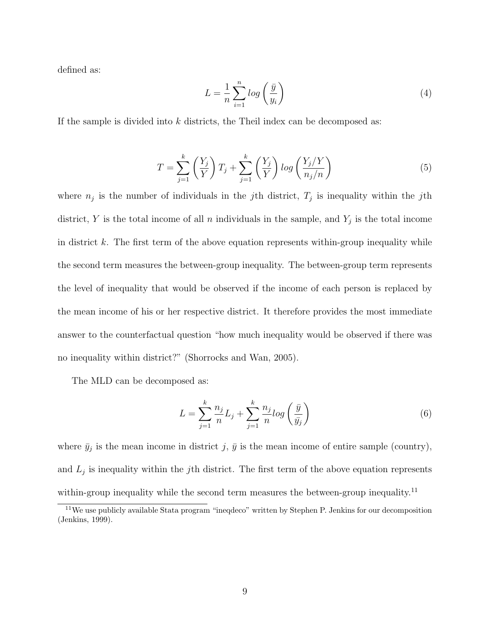defined as:

$$
L = \frac{1}{n} \sum_{i=1}^{n} \log\left(\frac{\bar{y}}{y_i}\right) \tag{4}
$$

If the sample is divided into  $k$  districts, the Theil index can be decomposed as:

$$
T = \sum_{j=1}^{k} \left(\frac{Y_j}{Y}\right) T_j + \sum_{j=1}^{k} \left(\frac{Y_j}{Y}\right) \log\left(\frac{Y_j/Y}{n_j/n}\right) \tag{5}
$$

where  $n_j$  is the number of individuals in the j<sup>th</sup> district,  $T_j$  is inequality within the j<sup>th</sup> district, Y is the total income of all n individuals in the sample, and  $Y_j$  is the total income in district k. The first term of the above equation represents within-group inequality while the second term measures the between-group inequality. The between-group term represents the level of inequality that would be observed if the income of each person is replaced by the mean income of his or her respective district. It therefore provides the most immediate answer to the counterfactual question "how much inequality would be observed if there was no inequality within district?" (Shorrocks and Wan, 2005).

The MLD can be decomposed as:

$$
L = \sum_{j=1}^{k} \frac{n_j}{n} L_j + \sum_{j=1}^{k} \frac{n_j}{n} log\left(\frac{\bar{y}}{\bar{y}_j}\right)
$$
(6)

where  $\bar{y}_j$  is the mean income in district j,  $\bar{y}$  is the mean income of entire sample (country), and  $L_j$  is inequality within the *j*th district. The first term of the above equation represents within-group inequality while the second term measures the between-group inequality.<sup>11</sup>

<sup>11</sup>We use publicly available Stata program "ineqdeco" written by Stephen P. Jenkins for our decomposition (Jenkins, 1999).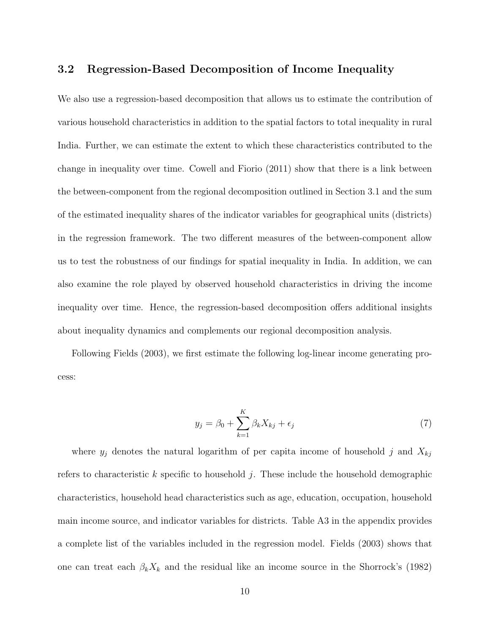#### 3.2 Regression-Based Decomposition of Income Inequality

We also use a regression-based decomposition that allows us to estimate the contribution of various household characteristics in addition to the spatial factors to total inequality in rural India. Further, we can estimate the extent to which these characteristics contributed to the change in inequality over time. Cowell and Fiorio (2011) show that there is a link between the between-component from the regional decomposition outlined in Section 3.1 and the sum of the estimated inequality shares of the indicator variables for geographical units (districts) in the regression framework. The two different measures of the between-component allow us to test the robustness of our findings for spatial inequality in India. In addition, we can also examine the role played by observed household characteristics in driving the income inequality over time. Hence, the regression-based decomposition offers additional insights about inequality dynamics and complements our regional decomposition analysis.

Following Fields (2003), we first estimate the following log-linear income generating process:

$$
y_j = \beta_0 + \sum_{k=1}^{K} \beta_k X_{kj} + \epsilon_j \tag{7}
$$

where  $y_j$  denotes the natural logarithm of per capita income of household j and  $X_{kj}$ refers to characteristic  $k$  specific to household j. These include the household demographic characteristics, household head characteristics such as age, education, occupation, household main income source, and indicator variables for districts. Table A3 in the appendix provides a complete list of the variables included in the regression model. Fields (2003) shows that one can treat each  $\beta_k X_k$  and the residual like an income source in the Shorrock's (1982)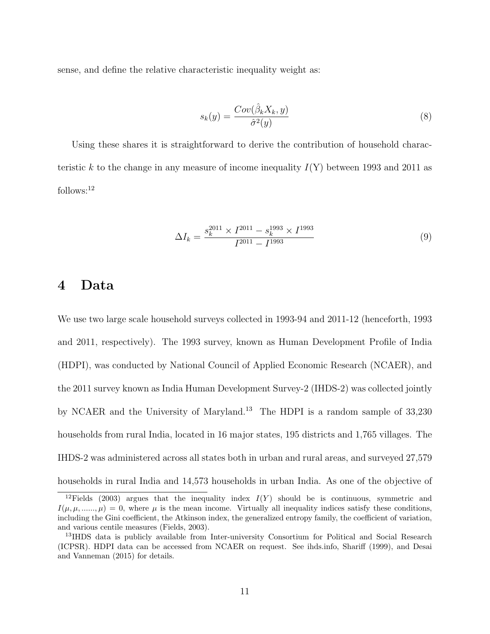sense, and define the relative characteristic inequality weight as:

$$
s_k(y) = \frac{Cov(\hat{\beta}_k X_k, y)}{\hat{\sigma}^2(y)}
$$
(8)

Using these shares it is straightforward to derive the contribution of household characteristic k to the change in any measure of income inequality  $I(Y)$  between 1993 and 2011 as follows:<sup>12</sup>

$$
\Delta I_k = \frac{s_k^{2011} \times I^{2011} - s_k^{1993} \times I^{1993}}{I^{2011} - I^{1993}}
$$
\n(9)

## 4 Data

We use two large scale household surveys collected in 1993-94 and 2011-12 (henceforth, 1993 and 2011, respectively). The 1993 survey, known as Human Development Profile of India (HDPI), was conducted by National Council of Applied Economic Research (NCAER), and the 2011 survey known as India Human Development Survey-2 (IHDS-2) was collected jointly by NCAER and the University of Maryland.<sup>13</sup> The HDPI is a random sample of 33,230 households from rural India, located in 16 major states, 195 districts and 1,765 villages. The IHDS-2 was administered across all states both in urban and rural areas, and surveyed 27,579 households in rural India and 14,573 households in urban India. As one of the objective of

<sup>&</sup>lt;sup>12</sup>Fields (2003) argues that the inequality index  $I(Y)$  should be is continuous, symmetric and  $I(\mu, \mu, \ldots, \mu) = 0$ , where  $\mu$  is the mean income. Virtually all inequality indices satisfy these conditions, including the Gini coefficient, the Atkinson index, the generalized entropy family, the coefficient of variation, and various centile measures (Fields, 2003).

<sup>&</sup>lt;sup>13</sup>IHDS data is publicly available from Inter-university Consortium for Political and Social Research (ICPSR). HDPI data can be accessed from NCAER on request. See ihds.info, Shariff (1999), and Desai and Vanneman (2015) for details.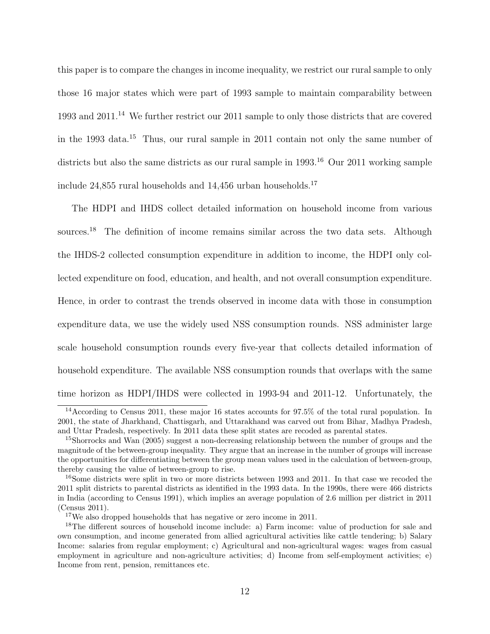this paper is to compare the changes in income inequality, we restrict our rural sample to only those 16 major states which were part of 1993 sample to maintain comparability between 1993 and 2011.<sup>14</sup> We further restrict our 2011 sample to only those districts that are covered in the 1993 data.<sup>15</sup> Thus, our rural sample in 2011 contain not only the same number of districts but also the same districts as our rural sample in 1993.<sup>16</sup> Our 2011 working sample include  $24,855$  rural households and  $14,456$  urban households.<sup>17</sup>

The HDPI and IHDS collect detailed information on household income from various sources.<sup>18</sup> The definition of income remains similar across the two data sets. Although the IHDS-2 collected consumption expenditure in addition to income, the HDPI only collected expenditure on food, education, and health, and not overall consumption expenditure. Hence, in order to contrast the trends observed in income data with those in consumption expenditure data, we use the widely used NSS consumption rounds. NSS administer large scale household consumption rounds every five-year that collects detailed information of household expenditure. The available NSS consumption rounds that overlaps with the same time horizon as HDPI/IHDS were collected in 1993-94 and 2011-12. Unfortunately, the

<sup>&</sup>lt;sup>14</sup> According to Census 2011, these major 16 states accounts for 97.5% of the total rural population. In 2001, the state of Jharkhand, Chattisgarh, and Uttarakhand was carved out from Bihar, Madhya Pradesh, and Uttar Pradesh, respectively. In 2011 data these split states are recoded as parental states.

<sup>15</sup>Shorrocks and Wan (2005) suggest a non-decreasing relationship between the number of groups and the magnitude of the between-group inequality. They argue that an increase in the number of groups will increase the opportunities for differentiating between the group mean values used in the calculation of between-group, thereby causing the value of between-group to rise.

<sup>&</sup>lt;sup>16</sup>Some districts were split in two or more districts between 1993 and 2011. In that case we recoded the 2011 split districts to parental districts as identified in the 1993 data. In the 1990s, there were 466 districts in India (according to Census 1991), which implies an average population of 2.6 million per district in 2011 (Census 2011).

<sup>17</sup>We also dropped households that has negative or zero income in 2011.

<sup>18</sup>The different sources of household income include: a) Farm income: value of production for sale and own consumption, and income generated from allied agricultural activities like cattle tendering; b) Salary Income: salaries from regular employment; c) Agricultural and non-agricultural wages: wages from casual employment in agriculture and non-agriculture activities; d) Income from self-employment activities; e) Income from rent, pension, remittances etc.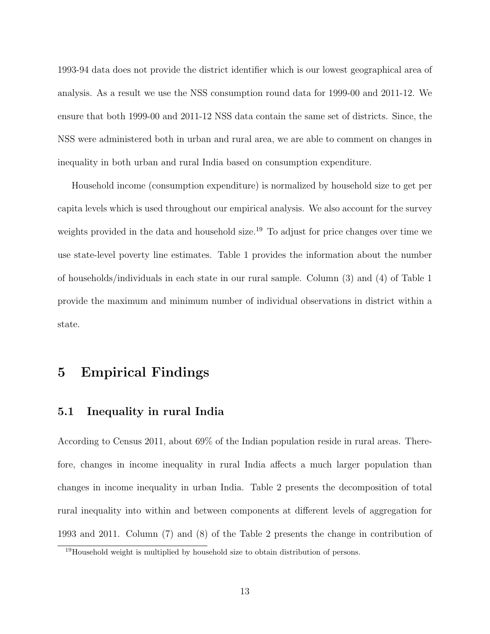1993-94 data does not provide the district identifier which is our lowest geographical area of analysis. As a result we use the NSS consumption round data for 1999-00 and 2011-12. We ensure that both 1999-00 and 2011-12 NSS data contain the same set of districts. Since, the NSS were administered both in urban and rural area, we are able to comment on changes in inequality in both urban and rural India based on consumption expenditure.

Household income (consumption expenditure) is normalized by household size to get per capita levels which is used throughout our empirical analysis. We also account for the survey weights provided in the data and household size.<sup>19</sup> To adjust for price changes over time we use state-level poverty line estimates. Table 1 provides the information about the number of households/individuals in each state in our rural sample. Column (3) and (4) of Table 1 provide the maximum and minimum number of individual observations in district within a state.

## 5 Empirical Findings

#### 5.1 Inequality in rural India

According to Census 2011, about 69% of the Indian population reside in rural areas. Therefore, changes in income inequality in rural India affects a much larger population than changes in income inequality in urban India. Table 2 presents the decomposition of total rural inequality into within and between components at different levels of aggregation for 1993 and 2011. Column (7) and (8) of the Table 2 presents the change in contribution of

<sup>19</sup>Household weight is multiplied by household size to obtain distribution of persons.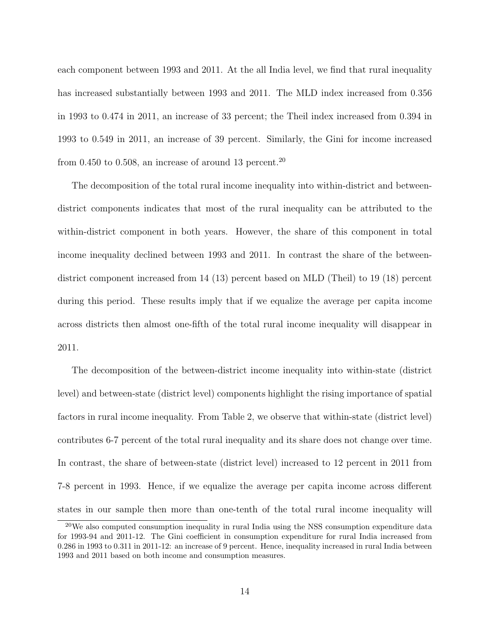each component between 1993 and 2011. At the all India level, we find that rural inequality has increased substantially between 1993 and 2011. The MLD index increased from 0.356 in 1993 to 0.474 in 2011, an increase of 33 percent; the Theil index increased from 0.394 in 1993 to 0.549 in 2011, an increase of 39 percent. Similarly, the Gini for income increased from 0.450 to 0.508, an increase of around 13 percent.<sup>20</sup>

The decomposition of the total rural income inequality into within-district and betweendistrict components indicates that most of the rural inequality can be attributed to the within-district component in both years. However, the share of this component in total income inequality declined between 1993 and 2011. In contrast the share of the betweendistrict component increased from 14 (13) percent based on MLD (Theil) to 19 (18) percent during this period. These results imply that if we equalize the average per capita income across districts then almost one-fifth of the total rural income inequality will disappear in 2011.

The decomposition of the between-district income inequality into within-state (district level) and between-state (district level) components highlight the rising importance of spatial factors in rural income inequality. From Table 2, we observe that within-state (district level) contributes 6-7 percent of the total rural inequality and its share does not change over time. In contrast, the share of between-state (district level) increased to 12 percent in 2011 from 7-8 percent in 1993. Hence, if we equalize the average per capita income across different states in our sample then more than one-tenth of the total rural income inequality will

<sup>20</sup>We also computed consumption inequality in rural India using the NSS consumption expenditure data for 1993-94 and 2011-12. The Gini coefficient in consumption expenditure for rural India increased from 0.286 in 1993 to 0.311 in 2011-12: an increase of 9 percent. Hence, inequality increased in rural India between 1993 and 2011 based on both income and consumption measures.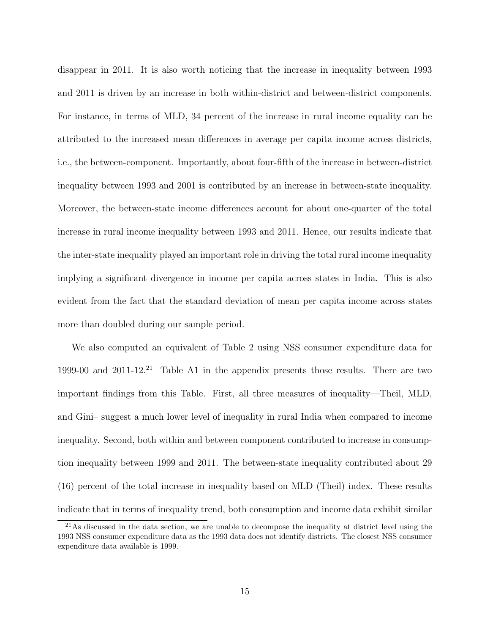disappear in 2011. It is also worth noticing that the increase in inequality between 1993 and 2011 is driven by an increase in both within-district and between-district components. For instance, in terms of MLD, 34 percent of the increase in rural income equality can be attributed to the increased mean differences in average per capita income across districts, i.e., the between-component. Importantly, about four-fifth of the increase in between-district inequality between 1993 and 2001 is contributed by an increase in between-state inequality. Moreover, the between-state income differences account for about one-quarter of the total increase in rural income inequality between 1993 and 2011. Hence, our results indicate that the inter-state inequality played an important role in driving the total rural income inequality implying a significant divergence in income per capita across states in India. This is also evident from the fact that the standard deviation of mean per capita income across states more than doubled during our sample period.

We also computed an equivalent of Table 2 using NSS consumer expenditure data for 1999-00 and 2011-12.<sup>21</sup> Table A1 in the appendix presents those results. There are two important findings from this Table. First, all three measures of inequality—Theil, MLD, and Gini– suggest a much lower level of inequality in rural India when compared to income inequality. Second, both within and between component contributed to increase in consumption inequality between 1999 and 2011. The between-state inequality contributed about 29 (16) percent of the total increase in inequality based on MLD (Theil) index. These results indicate that in terms of inequality trend, both consumption and income data exhibit similar

<sup>&</sup>lt;sup>21</sup>As discussed in the data section, we are unable to decompose the inequality at district level using the 1993 NSS consumer expenditure data as the 1993 data does not identify districts. The closest NSS consumer expenditure data available is 1999.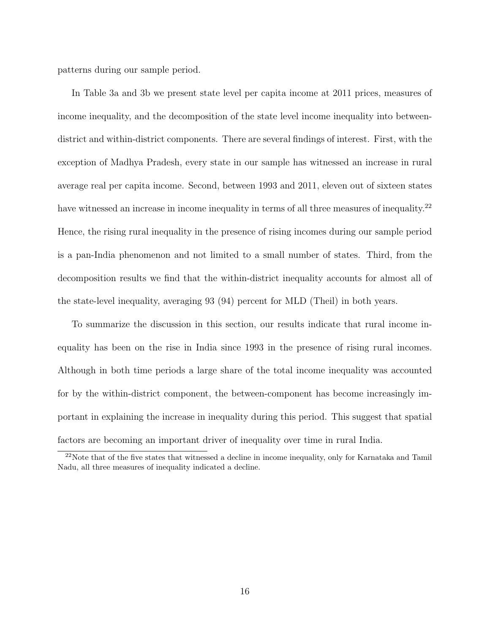patterns during our sample period.

In Table 3a and 3b we present state level per capita income at 2011 prices, measures of income inequality, and the decomposition of the state level income inequality into betweendistrict and within-district components. There are several findings of interest. First, with the exception of Madhya Pradesh, every state in our sample has witnessed an increase in rural average real per capita income. Second, between 1993 and 2011, eleven out of sixteen states have witnessed an increase in income inequality in terms of all three measures of inequality.<sup>22</sup> Hence, the rising rural inequality in the presence of rising incomes during our sample period is a pan-India phenomenon and not limited to a small number of states. Third, from the decomposition results we find that the within-district inequality accounts for almost all of the state-level inequality, averaging 93 (94) percent for MLD (Theil) in both years.

To summarize the discussion in this section, our results indicate that rural income inequality has been on the rise in India since 1993 in the presence of rising rural incomes. Although in both time periods a large share of the total income inequality was accounted for by the within-district component, the between-component has become increasingly important in explaining the increase in inequality during this period. This suggest that spatial factors are becoming an important driver of inequality over time in rural India.

 $22$ Note that of the five states that witnessed a decline in income inequality, only for Karnataka and Tamil Nadu, all three measures of inequality indicated a decline.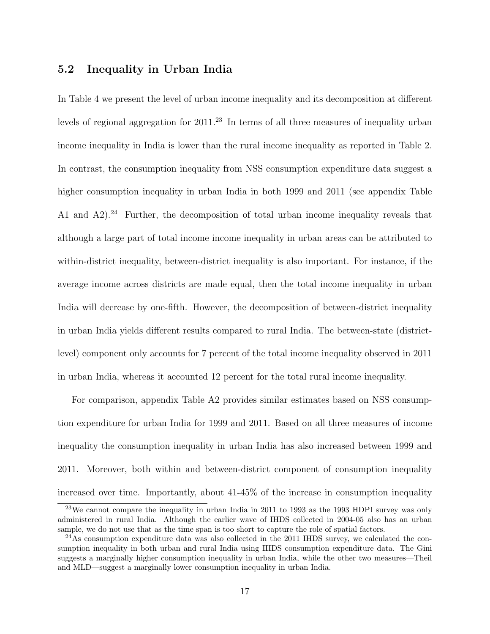#### 5.2 Inequality in Urban India

In Table 4 we present the level of urban income inequality and its decomposition at different levels of regional aggregation for 2011.<sup>23</sup> In terms of all three measures of inequality urban income inequality in India is lower than the rural income inequality as reported in Table 2. In contrast, the consumption inequality from NSS consumption expenditure data suggest a higher consumption inequality in urban India in both 1999 and 2011 (see appendix Table A1 and  $A2$ ).<sup>24</sup> Further, the decomposition of total urban income inequality reveals that although a large part of total income income inequality in urban areas can be attributed to within-district inequality, between-district inequality is also important. For instance, if the average income across districts are made equal, then the total income inequality in urban India will decrease by one-fifth. However, the decomposition of between-district inequality in urban India yields different results compared to rural India. The between-state (districtlevel) component only accounts for 7 percent of the total income inequality observed in 2011 in urban India, whereas it accounted 12 percent for the total rural income inequality.

For comparison, appendix Table A2 provides similar estimates based on NSS consumption expenditure for urban India for 1999 and 2011. Based on all three measures of income inequality the consumption inequality in urban India has also increased between 1999 and 2011. Moreover, both within and between-district component of consumption inequality increased over time. Importantly, about 41-45% of the increase in consumption inequality

<sup>&</sup>lt;sup>23</sup>We cannot compare the inequality in urban India in 2011 to 1993 as the 1993 HDPI survey was only administered in rural India. Although the earlier wave of IHDS collected in 2004-05 also has an urban sample, we do not use that as the time span is too short to capture the role of spatial factors.

 $^{24}$ As consumption expenditure data was also collected in the 2011 IHDS survey, we calculated the consumption inequality in both urban and rural India using IHDS consumption expenditure data. The Gini suggests a marginally higher consumption inequality in urban India, while the other two measures—Theil and MLD—suggest a marginally lower consumption inequality in urban India.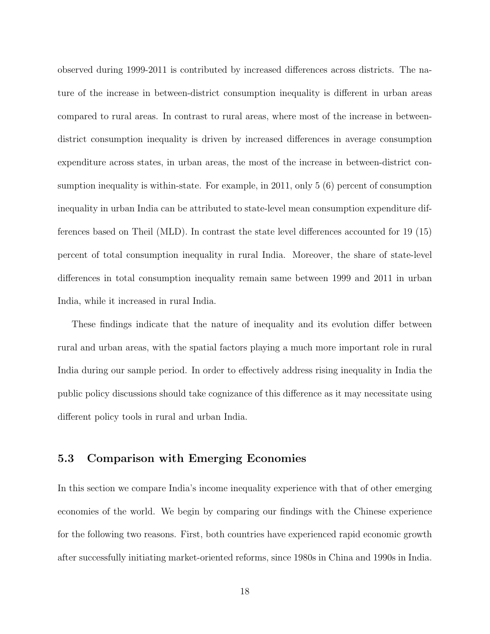observed during 1999-2011 is contributed by increased differences across districts. The nature of the increase in between-district consumption inequality is different in urban areas compared to rural areas. In contrast to rural areas, where most of the increase in betweendistrict consumption inequality is driven by increased differences in average consumption expenditure across states, in urban areas, the most of the increase in between-district consumption inequality is within-state. For example, in 2011, only 5 (6) percent of consumption inequality in urban India can be attributed to state-level mean consumption expenditure differences based on Theil (MLD). In contrast the state level differences accounted for 19 (15) percent of total consumption inequality in rural India. Moreover, the share of state-level differences in total consumption inequality remain same between 1999 and 2011 in urban India, while it increased in rural India.

These findings indicate that the nature of inequality and its evolution differ between rural and urban areas, with the spatial factors playing a much more important role in rural India during our sample period. In order to effectively address rising inequality in India the public policy discussions should take cognizance of this difference as it may necessitate using different policy tools in rural and urban India.

#### 5.3 Comparison with Emerging Economies

In this section we compare India's income inequality experience with that of other emerging economies of the world. We begin by comparing our findings with the Chinese experience for the following two reasons. First, both countries have experienced rapid economic growth after successfully initiating market-oriented reforms, since 1980s in China and 1990s in India.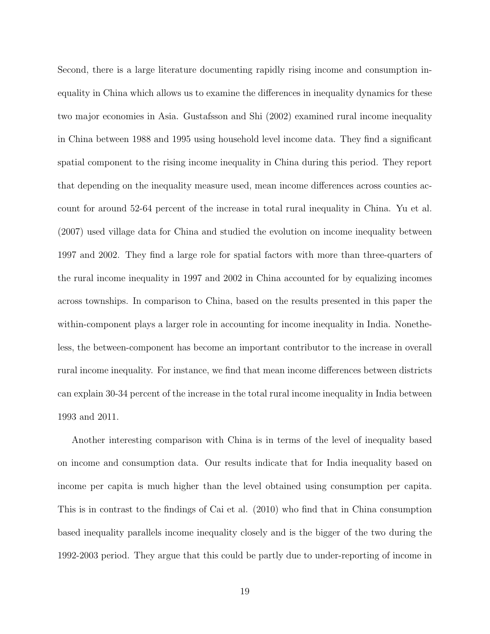Second, there is a large literature documenting rapidly rising income and consumption inequality in China which allows us to examine the differences in inequality dynamics for these two major economies in Asia. Gustafsson and Shi (2002) examined rural income inequality in China between 1988 and 1995 using household level income data. They find a significant spatial component to the rising income inequality in China during this period. They report that depending on the inequality measure used, mean income differences across counties account for around 52-64 percent of the increase in total rural inequality in China. Yu et al. (2007) used village data for China and studied the evolution on income inequality between 1997 and 2002. They find a large role for spatial factors with more than three-quarters of the rural income inequality in 1997 and 2002 in China accounted for by equalizing incomes across townships. In comparison to China, based on the results presented in this paper the within-component plays a larger role in accounting for income inequality in India. Nonetheless, the between-component has become an important contributor to the increase in overall rural income inequality. For instance, we find that mean income differences between districts can explain 30-34 percent of the increase in the total rural income inequality in India between 1993 and 2011.

Another interesting comparison with China is in terms of the level of inequality based on income and consumption data. Our results indicate that for India inequality based on income per capita is much higher than the level obtained using consumption per capita. This is in contrast to the findings of Cai et al. (2010) who find that in China consumption based inequality parallels income inequality closely and is the bigger of the two during the 1992-2003 period. They argue that this could be partly due to under-reporting of income in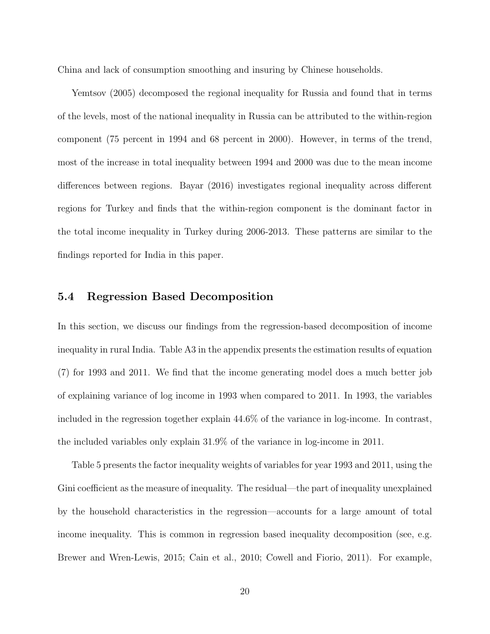China and lack of consumption smoothing and insuring by Chinese households.

Yemtsov (2005) decomposed the regional inequality for Russia and found that in terms of the levels, most of the national inequality in Russia can be attributed to the within-region component (75 percent in 1994 and 68 percent in 2000). However, in terms of the trend, most of the increase in total inequality between 1994 and 2000 was due to the mean income differences between regions. Bayar (2016) investigates regional inequality across different regions for Turkey and finds that the within-region component is the dominant factor in the total income inequality in Turkey during 2006-2013. These patterns are similar to the findings reported for India in this paper.

#### 5.4 Regression Based Decomposition

In this section, we discuss our findings from the regression-based decomposition of income inequality in rural India. Table A3 in the appendix presents the estimation results of equation (7) for 1993 and 2011. We find that the income generating model does a much better job of explaining variance of log income in 1993 when compared to 2011. In 1993, the variables included in the regression together explain 44.6% of the variance in log-income. In contrast, the included variables only explain 31.9% of the variance in log-income in 2011.

Table 5 presents the factor inequality weights of variables for year 1993 and 2011, using the Gini coefficient as the measure of inequality. The residual—the part of inequality unexplained by the household characteristics in the regression—accounts for a large amount of total income inequality. This is common in regression based inequality decomposition (see, e.g. Brewer and Wren-Lewis, 2015; Cain et al., 2010; Cowell and Fiorio, 2011). For example,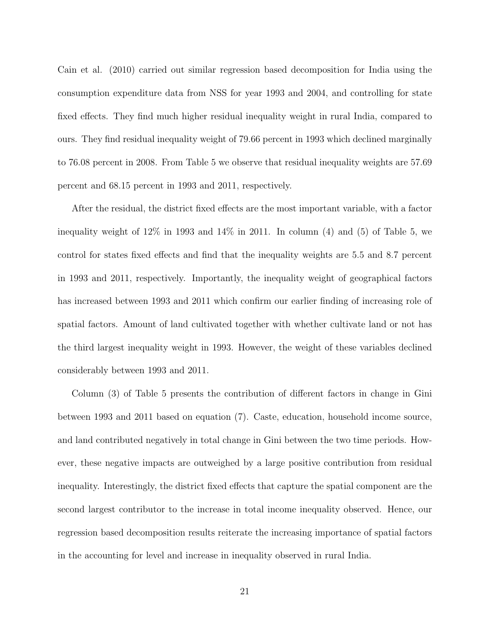Cain et al. (2010) carried out similar regression based decomposition for India using the consumption expenditure data from NSS for year 1993 and 2004, and controlling for state fixed effects. They find much higher residual inequality weight in rural India, compared to ours. They find residual inequality weight of 79.66 percent in 1993 which declined marginally to 76.08 percent in 2008. From Table 5 we observe that residual inequality weights are 57.69 percent and 68.15 percent in 1993 and 2011, respectively.

After the residual, the district fixed effects are the most important variable, with a factor inequality weight of  $12\%$  in 1993 and  $14\%$  in 2011. In column (4) and (5) of Table 5, we control for states fixed effects and find that the inequality weights are 5.5 and 8.7 percent in 1993 and 2011, respectively. Importantly, the inequality weight of geographical factors has increased between 1993 and 2011 which confirm our earlier finding of increasing role of spatial factors. Amount of land cultivated together with whether cultivate land or not has the third largest inequality weight in 1993. However, the weight of these variables declined considerably between 1993 and 2011.

Column (3) of Table 5 presents the contribution of different factors in change in Gini between 1993 and 2011 based on equation (7). Caste, education, household income source, and land contributed negatively in total change in Gini between the two time periods. However, these negative impacts are outweighed by a large positive contribution from residual inequality. Interestingly, the district fixed effects that capture the spatial component are the second largest contributor to the increase in total income inequality observed. Hence, our regression based decomposition results reiterate the increasing importance of spatial factors in the accounting for level and increase in inequality observed in rural India.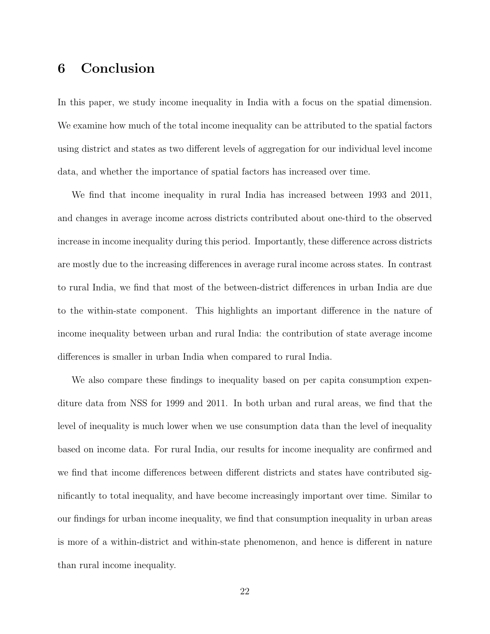# 6 Conclusion

In this paper, we study income inequality in India with a focus on the spatial dimension. We examine how much of the total income inequality can be attributed to the spatial factors using district and states as two different levels of aggregation for our individual level income data, and whether the importance of spatial factors has increased over time.

We find that income inequality in rural India has increased between 1993 and 2011, and changes in average income across districts contributed about one-third to the observed increase in income inequality during this period. Importantly, these difference across districts are mostly due to the increasing differences in average rural income across states. In contrast to rural India, we find that most of the between-district differences in urban India are due to the within-state component. This highlights an important difference in the nature of income inequality between urban and rural India: the contribution of state average income differences is smaller in urban India when compared to rural India.

We also compare these findings to inequality based on per capita consumption expenditure data from NSS for 1999 and 2011. In both urban and rural areas, we find that the level of inequality is much lower when we use consumption data than the level of inequality based on income data. For rural India, our results for income inequality are confirmed and we find that income differences between different districts and states have contributed significantly to total inequality, and have become increasingly important over time. Similar to our findings for urban income inequality, we find that consumption inequality in urban areas is more of a within-district and within-state phenomenon, and hence is different in nature than rural income inequality.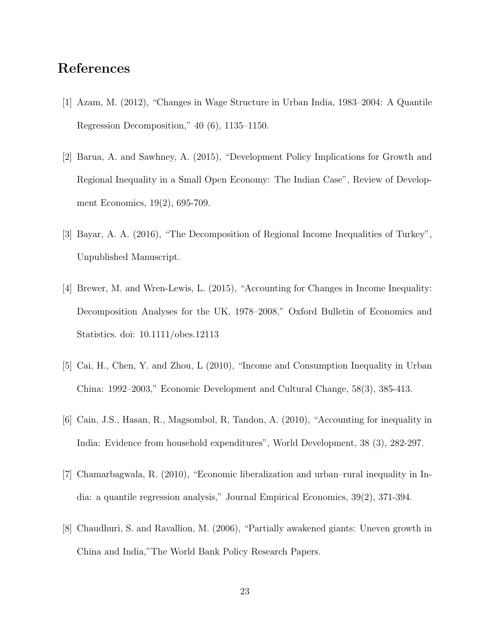# References

- [1] Azam, M. (2012), "Changes in Wage Structure in Urban India, 1983–2004: A Quantile Regression Decomposition," 40 (6), 1135–1150.
- [2] Barua, A. and Sawhney, A. (2015), "Development Policy Implications for Growth and Regional Inequality in a Small Open Economy: The Indian Case", Review of Development Economics, 19(2), 695-709.
- [3] Bayar, A. A. (2016), "The Decomposition of Regional Income Inequalities of Turkey", Unpublished Manuscript.
- [4] Brewer, M. and Wren-Lewis, L. (2015), "Accounting for Changes in Income Inequality: Decomposition Analyses for the UK, 1978–2008," Oxford Bulletin of Economics and Statistics. doi: 10.1111/obes.12113
- [5] Cai, H., Chen, Y. and Zhou, L (2010), "Income and Consumption Inequality in Urban China: 1992–2003," Economic Development and Cultural Change, 58(3), 385-413.
- [6] Cain, J.S., Hasan, R., Magsombol, R, Tandon, A. (2010), "Accounting for inequality in India: Evidence from household expenditures", World Development, 38 (3), 282-297.
- [7] Chamarbagwala, R. (2010), "Economic liberalization and urban–rural inequality in India: a quantile regression analysis," Journal Empirical Economics, 39(2), 371-394.
- [8] Chaudhuri, S. and Ravallion, M. (2006), "Partially awakened giants: Uneven growth in China and India,"The World Bank Policy Research Papers.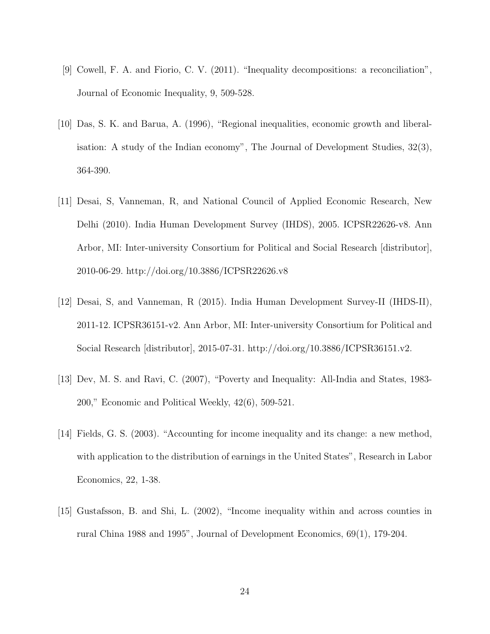- [9] Cowell, F. A. and Fiorio, C. V. (2011). "Inequality decompositions: a reconciliation", Journal of Economic Inequality, 9, 509-528.
- [10] Das, S. K. and Barua, A. (1996), "Regional inequalities, economic growth and liberalisation: A study of the Indian economy", The Journal of Development Studies, 32(3), 364-390.
- [11] Desai, S, Vanneman, R, and National Council of Applied Economic Research, New Delhi (2010). India Human Development Survey (IHDS), 2005. ICPSR22626-v8. Ann Arbor, MI: Inter-university Consortium for Political and Social Research [distributor], 2010-06-29. http://doi.org/10.3886/ICPSR22626.v8
- [12] Desai, S, and Vanneman, R (2015). India Human Development Survey-II (IHDS-II), 2011-12. ICPSR36151-v2. Ann Arbor, MI: Inter-university Consortium for Political and Social Research [distributor], 2015-07-31. http://doi.org/10.3886/ICPSR36151.v2.
- [13] Dev, M. S. and Ravi, C. (2007), "Poverty and Inequality: All-India and States, 1983- 200," Economic and Political Weekly, 42(6), 509-521.
- [14] Fields, G. S. (2003). "Accounting for income inequality and its change: a new method, with application to the distribution of earnings in the United States", Research in Labor Economics, 22, 1-38.
- [15] Gustafsson, B. and Shi, L. (2002), "Income inequality within and across counties in rural China 1988 and 1995", Journal of Development Economics, 69(1), 179-204.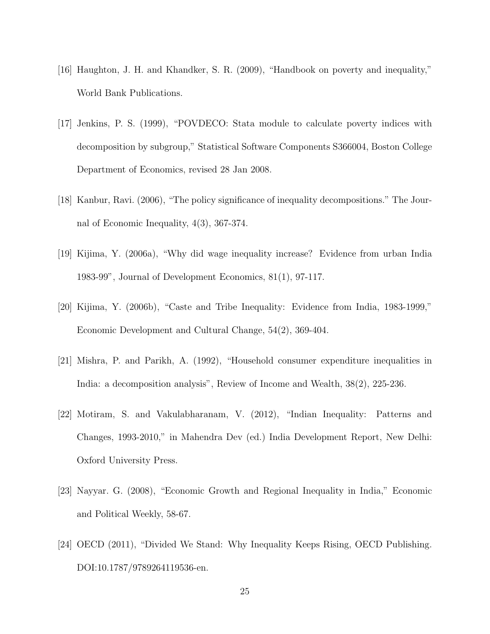- [16] Haughton, J. H. and Khandker, S. R. (2009), "Handbook on poverty and inequality," World Bank Publications.
- [17] Jenkins, P. S. (1999), "POVDECO: Stata module to calculate poverty indices with decomposition by subgroup," Statistical Software Components S366004, Boston College Department of Economics, revised 28 Jan 2008.
- [18] Kanbur, Ravi. (2006), "The policy significance of inequality decompositions." The Journal of Economic Inequality, 4(3), 367-374.
- [19] Kijima, Y. (2006a), "Why did wage inequality increase? Evidence from urban India 1983-99", Journal of Development Economics, 81(1), 97-117.
- [20] Kijima, Y. (2006b), "Caste and Tribe Inequality: Evidence from India, 1983-1999," Economic Development and Cultural Change, 54(2), 369-404.
- [21] Mishra, P. and Parikh, A. (1992), "Household consumer expenditure inequalities in India: a decomposition analysis", Review of Income and Wealth, 38(2), 225-236.
- [22] Motiram, S. and Vakulabharanam, V. (2012), "Indian Inequality: Patterns and Changes, 1993-2010," in Mahendra Dev (ed.) India Development Report, New Delhi: Oxford University Press.
- [23] Nayyar. G. (2008), "Economic Growth and Regional Inequality in India," Economic and Political Weekly, 58-67.
- [24] OECD (2011), "Divided We Stand: Why Inequality Keeps Rising, OECD Publishing. DOI:10.1787/9789264119536-en.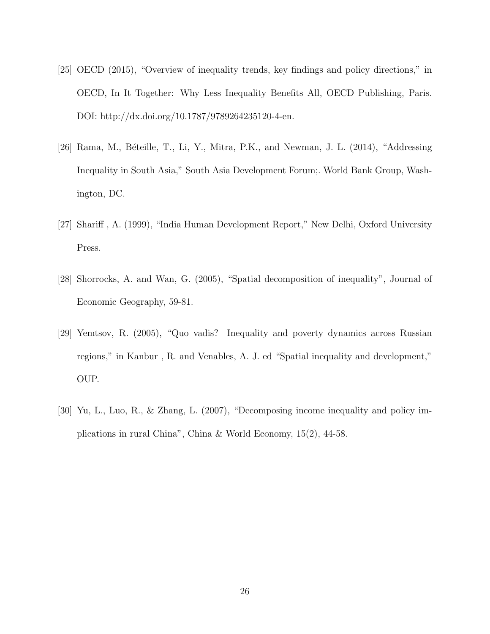- [25] OECD (2015), "Overview of inequality trends, key findings and policy directions," in OECD, In It Together: Why Less Inequality Benefits All, OECD Publishing, Paris. DOI: http://dx.doi.org/10.1787/9789264235120-4-en.
- [26] Rama, M., Béteille, T., Li, Y., Mitra, P.K., and Newman, J. L. (2014), "Addressing Inequality in South Asia," South Asia Development Forum;. World Bank Group, Washington, DC.
- [27] Shariff , A. (1999), "India Human Development Report," New Delhi, Oxford University Press.
- [28] Shorrocks, A. and Wan, G. (2005), "Spatial decomposition of inequality", Journal of Economic Geography, 59-81.
- [29] Yemtsov, R. (2005), "Quo vadis? Inequality and poverty dynamics across Russian regions," in Kanbur , R. and Venables, A. J. ed "Spatial inequality and development," OUP.
- [30] Yu, L., Luo, R., & Zhang, L. (2007), "Decomposing income inequality and policy implications in rural China", China & World Economy, 15(2), 44-58.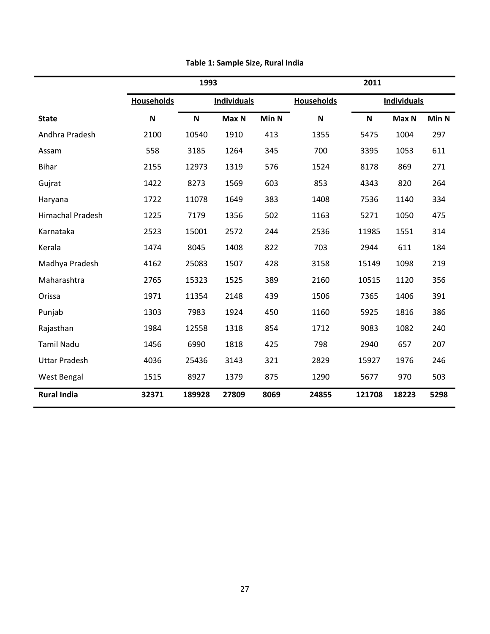|                         | 1993                      |        |                    | 2011  |                   |             |                    |       |
|-------------------------|---------------------------|--------|--------------------|-------|-------------------|-------------|--------------------|-------|
|                         | <b>Households</b>         |        | <b>Individuals</b> |       | <b>Households</b> |             | <b>Individuals</b> |       |
| <b>State</b>            | $\boldsymbol{\mathsf{N}}$ | N      | Max N              | Min N | N                 | $\mathbf N$ | Max N              | Min N |
| Andhra Pradesh          | 2100                      | 10540  | 1910               | 413   | 1355              | 5475        | 1004               | 297   |
| Assam                   | 558                       | 3185   | 1264               | 345   | 700               | 3395        | 1053               | 611   |
| <b>Bihar</b>            | 2155                      | 12973  | 1319               | 576   | 1524              | 8178        | 869                | 271   |
| Gujrat                  | 1422                      | 8273   | 1569               | 603   | 853               | 4343        | 820                | 264   |
| Haryana                 | 1722                      | 11078  | 1649               | 383   | 1408              | 7536        | 1140               | 334   |
| <b>Himachal Pradesh</b> | 1225                      | 7179   | 1356               | 502   | 1163              | 5271        | 1050               | 475   |
| Karnataka               | 2523                      | 15001  | 2572               | 244   | 2536              | 11985       | 1551               | 314   |
| Kerala                  | 1474                      | 8045   | 1408               | 822   | 703               | 2944        | 611                | 184   |
| Madhya Pradesh          | 4162                      | 25083  | 1507               | 428   | 3158              | 15149       | 1098               | 219   |
| Maharashtra             | 2765                      | 15323  | 1525               | 389   | 2160              | 10515       | 1120               | 356   |
| Orissa                  | 1971                      | 11354  | 2148               | 439   | 1506              | 7365        | 1406               | 391   |
| Punjab                  | 1303                      | 7983   | 1924               | 450   | 1160              | 5925        | 1816               | 386   |
| Rajasthan               | 1984                      | 12558  | 1318               | 854   | 1712              | 9083        | 1082               | 240   |
| <b>Tamil Nadu</b>       | 1456                      | 6990   | 1818               | 425   | 798               | 2940        | 657                | 207   |
| <b>Uttar Pradesh</b>    | 4036                      | 25436  | 3143               | 321   | 2829              | 15927       | 1976               | 246   |
| West Bengal             | 1515                      | 8927   | 1379               | 875   | 1290              | 5677        | 970                | 503   |
| <b>Rural India</b>      | 32371                     | 189928 | 27809              | 8069  | 24855             | 121708      | 18223              | 5298  |

**Table 1: Sample Size, Rural India**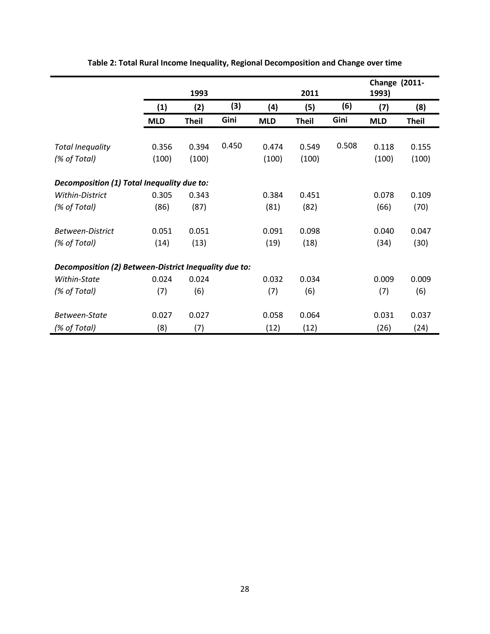|                                                       |            | 1993         |       |            | 2011         |       | <b>Change (2011-</b><br>1993) |              |
|-------------------------------------------------------|------------|--------------|-------|------------|--------------|-------|-------------------------------|--------------|
|                                                       | (1)        | (2)          | (3)   | (4)        | (5)          | (6)   | (7)                           | (8)          |
|                                                       | <b>MLD</b> | <b>Theil</b> | Gini  | <b>MLD</b> | <b>Theil</b> | Gini  | <b>MLD</b>                    | <b>Theil</b> |
|                                                       |            |              |       |            |              |       |                               |              |
| <b>Total Inequality</b>                               | 0.356      | 0.394        | 0.450 | 0.474      | 0.549        | 0.508 | 0.118                         | 0.155        |
| (% of Total)                                          | (100)      | (100)        |       | (100)      | (100)        |       | (100)                         | (100)        |
|                                                       |            |              |       |            |              |       |                               |              |
| Decomposition (1) Total Inequality due to:            |            |              |       |            |              |       |                               |              |
| Within-District                                       | 0.305      | 0.343        |       | 0.384      | 0.451        |       | 0.078                         | 0.109        |
| (% of Total)                                          | (86)       | (87)         |       | (81)       | (82)         |       | (66)                          | (70)         |
|                                                       |            |              |       |            |              |       |                               |              |
| <b>Between-District</b>                               | 0.051      | 0.051        |       | 0.091      | 0.098        |       | 0.040                         | 0.047        |
| (% of Total)                                          | (14)       | (13)         |       | (19)       | (18)         |       | (34)                          | (30)         |
|                                                       |            |              |       |            |              |       |                               |              |
| Decomposition (2) Between-District Inequality due to: |            |              |       |            |              |       |                               |              |
| Within-State                                          | 0.024      | 0.024        |       | 0.032      | 0.034        |       | 0.009                         | 0.009        |
| (% of Total)                                          | (7)        | (6)          |       | (7)        | (6)          |       | (7)                           | (6)          |
|                                                       |            |              |       |            |              |       |                               |              |
| Between-State                                         | 0.027      | 0.027        |       | 0.058      | 0.064        |       | 0.031                         | 0.037        |
| (% of Total)                                          | (8)        | (7)          |       | (12)       | (12)         |       | (26)                          | (24)         |

**Table 2: Total Rural Income Inequality, Regional Decomposition and Change over time**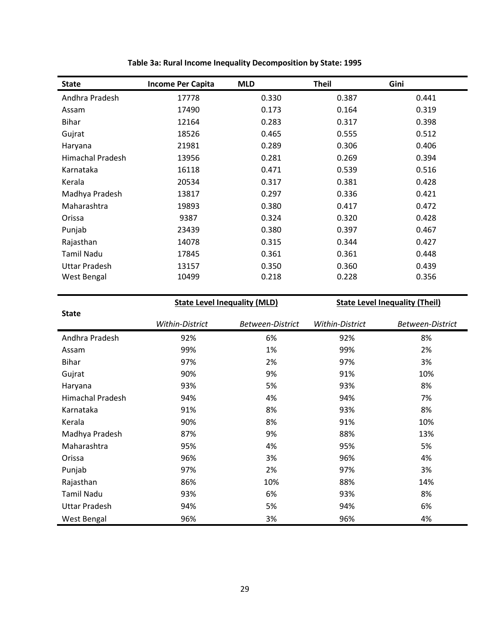| <b>State</b>         | <b>Income Per Capita</b> | <b>MLD</b> | <b>Theil</b> | Gini  |
|----------------------|--------------------------|------------|--------------|-------|
| Andhra Pradesh       | 17778                    | 0.330      | 0.387        | 0.441 |
| Assam                | 17490                    | 0.173      | 0.164        | 0.319 |
| <b>Bihar</b>         | 12164                    | 0.283      | 0.317        | 0.398 |
| Gujrat               | 18526                    | 0.465      | 0.555        | 0.512 |
| Haryana              | 21981                    | 0.289      | 0.306        | 0.406 |
| Himachal Pradesh     | 13956                    | 0.281      | 0.269        | 0.394 |
| Karnataka            | 16118                    | 0.471      | 0.539        | 0.516 |
| Kerala               | 20534                    | 0.317      | 0.381        | 0.428 |
| Madhya Pradesh       | 13817                    | 0.297      | 0.336        | 0.421 |
| Maharashtra          | 19893                    | 0.380      | 0.417        | 0.472 |
| Orissa               | 9387                     | 0.324      | 0.320        | 0.428 |
| Punjab               | 23439                    | 0.380      | 0.397        | 0.467 |
| Rajasthan            | 14078                    | 0.315      | 0.344        | 0.427 |
| Tamil Nadu           | 17845                    | 0.361      | 0.361        | 0.448 |
| <b>Uttar Pradesh</b> | 13157                    | 0.350      | 0.360        | 0.439 |
| West Bengal          | 10499                    | 0.218      | 0.228        | 0.356 |

**Table 3a: Rural Income Inequality Decomposition by State: 1995**

**State Level Inequality (MLD)**

**State Level Inequality (Theil)**

| <b>State</b>            |                 |                  |                 |                         |
|-------------------------|-----------------|------------------|-----------------|-------------------------|
|                         | Within-District | Between-District | Within-District | <b>Between-District</b> |
| Andhra Pradesh          | 92%             | 6%               | 92%             | 8%                      |
| Assam                   | 99%             | 1%               | 99%             | 2%                      |
| <b>Bihar</b>            | 97%             | 2%               | 97%             | 3%                      |
| Gujrat                  | 90%             | 9%               | 91%             | 10%                     |
| Haryana                 | 93%             | 5%               | 93%             | 8%                      |
| <b>Himachal Pradesh</b> | 94%             | 4%               | 94%             | 7%                      |
| Karnataka               | 91%             | 8%               | 93%             | 8%                      |
| Kerala                  | 90%             | 8%               | 91%             | 10%                     |
| Madhya Pradesh          | 87%             | 9%               | 88%             | 13%                     |
| Maharashtra             | 95%             | 4%               | 95%             | 5%                      |
| Orissa                  | 96%             | 3%               | 96%             | 4%                      |
| Punjab                  | 97%             | 2%               | 97%             | 3%                      |
| Rajasthan               | 86%             | 10%              | 88%             | 14%                     |
| <b>Tamil Nadu</b>       | 93%             | 6%               | 93%             | 8%                      |
| <b>Uttar Pradesh</b>    | 94%             | 5%               | 94%             | 6%                      |
| West Bengal             | 96%             | 3%               | 96%             | 4%                      |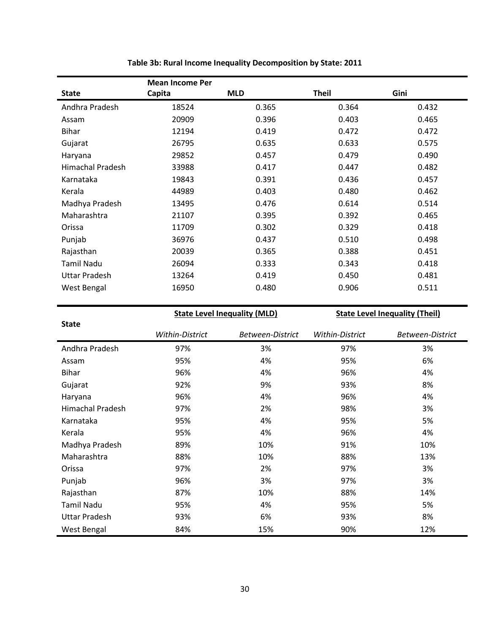|                         | <b>Mean Income Per</b> |            |              |       |
|-------------------------|------------------------|------------|--------------|-------|
| <b>State</b>            | Capita                 | <b>MLD</b> | <b>Theil</b> | Gini  |
| Andhra Pradesh          | 18524                  | 0.365      | 0.364        | 0.432 |
| Assam                   | 20909                  | 0.396      | 0.403        | 0.465 |
| <b>Bihar</b>            | 12194                  | 0.419      | 0.472        | 0.472 |
| Gujarat                 | 26795                  | 0.635      | 0.633        | 0.575 |
| Haryana                 | 29852                  | 0.457      | 0.479        | 0.490 |
| <b>Himachal Pradesh</b> | 33988                  | 0.417      | 0.447        | 0.482 |
| Karnataka               | 19843                  | 0.391      | 0.436        | 0.457 |
| Kerala                  | 44989                  | 0.403      | 0.480        | 0.462 |
| Madhya Pradesh          | 13495                  | 0.476      | 0.614        | 0.514 |
| Maharashtra             | 21107                  | 0.395      | 0.392        | 0.465 |
| Orissa                  | 11709                  | 0.302      | 0.329        | 0.418 |
| Punjab                  | 36976                  | 0.437      | 0.510        | 0.498 |
| Rajasthan               | 20039                  | 0.365      | 0.388        | 0.451 |
| Tamil Nadu              | 26094                  | 0.333      | 0.343        | 0.418 |
| <b>Uttar Pradesh</b>    | 13264                  | 0.419      | 0.450        | 0.481 |
| West Bengal             | 16950                  | 0.480      | 0.906        | 0.511 |

**Table 3b: Rural Income Inequality Decomposition by State: 2011**

**State Level Inequality (MLD)**

**State Level Inequality (Theil)**

| <b>State</b>            |                 |                  |                 |                         |
|-------------------------|-----------------|------------------|-----------------|-------------------------|
|                         | Within-District | Between-District | Within-District | <b>Between-District</b> |
| Andhra Pradesh          | 97%             | 3%               | 97%             | 3%                      |
| Assam                   | 95%             | 4%               | 95%             | 6%                      |
| <b>Bihar</b>            | 96%             | 4%               | 96%             | 4%                      |
| Gujarat                 | 92%             | 9%               | 93%             | 8%                      |
| Haryana                 | 96%             | 4%               | 96%             | 4%                      |
| <b>Himachal Pradesh</b> | 97%             | 2%               | 98%             | 3%                      |
| Karnataka               | 95%             | 4%               | 95%             | 5%                      |
| Kerala                  | 95%             | 4%               | 96%             | 4%                      |
| Madhya Pradesh          | 89%             | 10%              | 91%             | 10%                     |
| Maharashtra             | 88%             | 10%              | 88%             | 13%                     |
| Orissa                  | 97%             | 2%               | 97%             | 3%                      |
| Punjab                  | 96%             | 3%               | 97%             | 3%                      |
| Rajasthan               | 87%             | 10%              | 88%             | 14%                     |
| <b>Tamil Nadu</b>       | 95%             | 4%               | 95%             | 5%                      |
| <b>Uttar Pradesh</b>    | 93%             | 6%               | 93%             | 8%                      |
| West Bengal             | 84%             | 15%              | 90%             | 12%                     |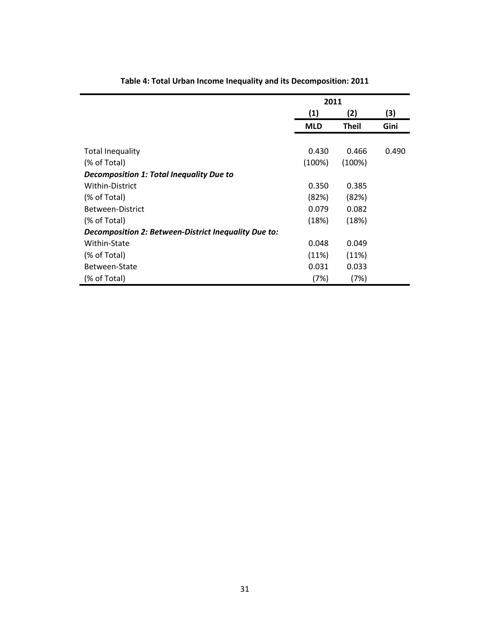|                                                      |            | 2011         |       |  |
|------------------------------------------------------|------------|--------------|-------|--|
|                                                      | (1)        | (2)          | (3)   |  |
|                                                      | <b>MLD</b> | <b>Theil</b> | Gini  |  |
|                                                      |            |              |       |  |
| <b>Total Inequality</b>                              | 0.430      | 0.466        | 0.490 |  |
| (% of Total)                                         | (100%)     | (100%)       |       |  |
| <b>Decomposition 1: Total Inequality Due to</b>      |            |              |       |  |
| Within-District                                      | 0.350      | 0.385        |       |  |
| (% of Total)                                         | (82%)      | (82%)        |       |  |
| Between-District                                     | 0.079      | 0.082        |       |  |
| (% of Total)                                         | (18%)      | (18%)        |       |  |
| Decomposition 2: Between-District Inequality Due to: |            |              |       |  |
| Within-State                                         | 0.048      | 0.049        |       |  |
| (% of Total)                                         | (11%)      | (11%)        |       |  |
| Between-State                                        | 0.031      | 0.033        |       |  |
| (% of Total)                                         | (7%)       | (7%)         |       |  |

**Table 4: Total Urban Income Inequality and its Decomposition: 2011**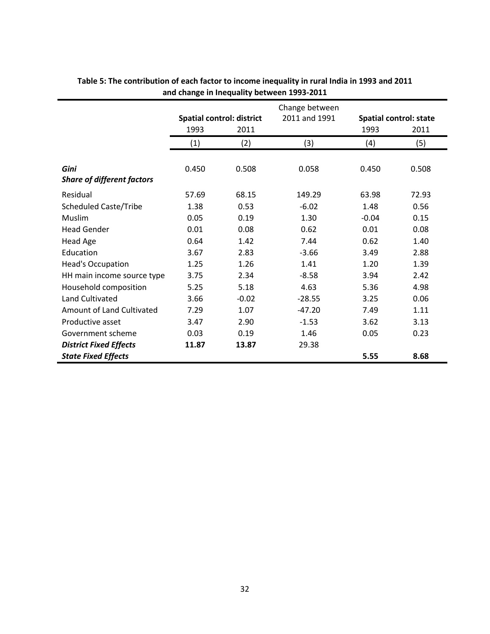|                                   |       |                                  | Change between |         |                               |
|-----------------------------------|-------|----------------------------------|----------------|---------|-------------------------------|
|                                   |       | <b>Spatial control: district</b> | 2011 and 1991  |         | <b>Spatial control: state</b> |
|                                   | 1993  | 2011                             |                | 1993    | 2011                          |
|                                   | (1)   | (2)                              | (3)            | (4)     | (5)                           |
|                                   |       |                                  |                |         |                               |
| Gini                              | 0.450 | 0.508                            | 0.058          | 0.450   | 0.508                         |
| <b>Share of different factors</b> |       |                                  |                |         |                               |
| Residual                          | 57.69 | 68.15                            | 149.29         | 63.98   | 72.93                         |
| <b>Scheduled Caste/Tribe</b>      | 1.38  | 0.53                             | $-6.02$        | 1.48    | 0.56                          |
| Muslim                            | 0.05  | 0.19                             | 1.30           | $-0.04$ | 0.15                          |
| <b>Head Gender</b>                | 0.01  | 0.08                             | 0.62           | 0.01    | 0.08                          |
| <b>Head Age</b>                   | 0.64  | 1.42                             | 7.44           | 0.62    | 1.40                          |
| Education                         | 3.67  | 2.83                             | $-3.66$        | 3.49    | 2.88                          |
| <b>Head's Occupation</b>          | 1.25  | 1.26                             | 1.41           | 1.20    | 1.39                          |
| HH main income source type        | 3.75  | 2.34                             | $-8.58$        | 3.94    | 2.42                          |
| Household composition             | 5.25  | 5.18                             | 4.63           | 5.36    | 4.98                          |
| Land Cultivated                   | 3.66  | $-0.02$                          | $-28.55$       | 3.25    | 0.06                          |
| Amount of Land Cultivated         | 7.29  | 1.07                             | $-47.20$       | 7.49    | 1.11                          |
| Productive asset                  | 3.47  | 2.90                             | $-1.53$        | 3.62    | 3.13                          |
| Government scheme                 | 0.03  | 0.19                             | 1.46           | 0.05    | 0.23                          |
| <b>District Fixed Effects</b>     | 11.87 | 13.87                            | 29.38          |         |                               |
| <b>State Fixed Effects</b>        |       |                                  |                | 5.55    | 8.68                          |

#### **Table 5: The contribution of each factor to income inequality in rural India in 1993 and 2011 and change in Inequality between 1993-2011**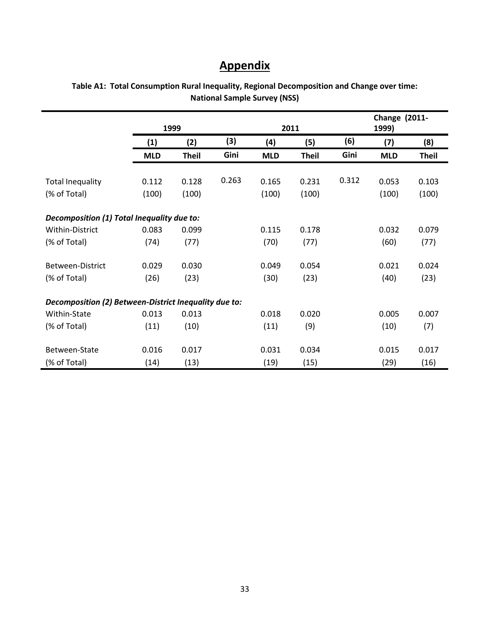# **Appendix**

|                                                       |            | 1999         |       | 2011       |              |       | <b>Change (2011-</b><br>1999) |              |  |
|-------------------------------------------------------|------------|--------------|-------|------------|--------------|-------|-------------------------------|--------------|--|
|                                                       | (1)        | (2)          | (3)   | (4)        | (5)          | (6)   | (7)                           | (8)          |  |
|                                                       | <b>MLD</b> | <b>Theil</b> | Gini  | <b>MLD</b> | <b>Theil</b> | Gini  | <b>MLD</b>                    | <b>Theil</b> |  |
| <b>Total Inequality</b>                               | 0.112      | 0.128        | 0.263 | 0.165      | 0.231        | 0.312 | 0.053                         | 0.103        |  |
| (% of Total)                                          | (100)      | (100)        |       | (100)      | (100)        |       | (100)                         | (100)        |  |
| Decomposition (1) Total Inequality due to:            |            |              |       |            |              |       |                               |              |  |
| Within-District                                       | 0.083      | 0.099        |       | 0.115      | 0.178        |       | 0.032                         | 0.079        |  |
| (% of Total)                                          | (74)       | (77)         |       | (70)       | (77)         |       | (60)                          | (77)         |  |
| Between-District                                      | 0.029      | 0.030        |       | 0.049      | 0.054        |       | 0.021                         | 0.024        |  |
| (% of Total)                                          | (26)       | (23)         |       | (30)       | (23)         |       | (40)                          | (23)         |  |
| Decomposition (2) Between-District Inequality due to: |            |              |       |            |              |       |                               |              |  |
| Within-State                                          | 0.013      | 0.013        |       | 0.018      | 0.020        |       | 0.005                         | 0.007        |  |
| (% of Total)                                          | (11)       | (10)         |       | (11)       | (9)          |       | (10)                          | (7)          |  |
| Between-State                                         | 0.016      | 0.017        |       | 0.031      | 0.034        |       | 0.015                         | 0.017        |  |
| (% of Total)                                          | (14)       | (13)         |       | (19)       | (15)         |       | (29)                          | (16)         |  |

**Table A1: Total Consumption Rural Inequality, Regional Decomposition and Change over time: National Sample Survey (NSS)**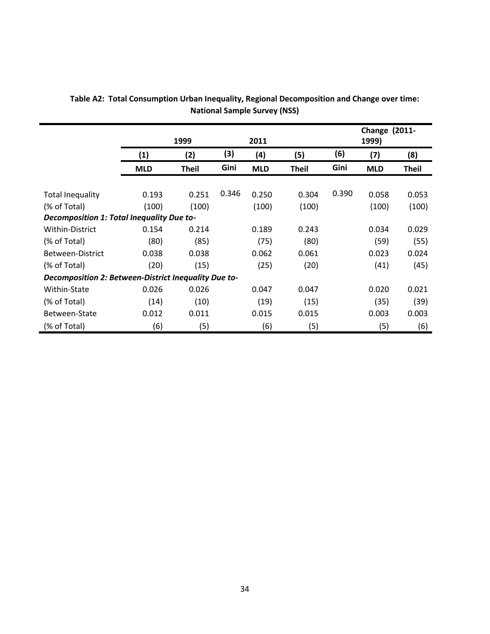|                                                      |                   | 1999         |       | 2011       |              |       | <b>Change (2011-</b><br>1999) |              |
|------------------------------------------------------|-------------------|--------------|-------|------------|--------------|-------|-------------------------------|--------------|
|                                                      | $\left( 1\right)$ | (2)          | (3)   | (4)        | (5)          | (6)   | (7)                           | (8)          |
|                                                      | <b>MLD</b>        | <b>Theil</b> | Gini  | <b>MLD</b> | <b>Theil</b> | Gini  | <b>MLD</b>                    | <b>Theil</b> |
|                                                      |                   |              |       |            |              |       |                               |              |
| <b>Total Inequality</b>                              | 0.193             | 0.251        | 0.346 | 0.250      | 0.304        | 0.390 | 0.058                         | 0.053        |
| (% of Total)                                         | (100)             | (100)        |       | (100)      | (100)        |       | (100)                         | (100)        |
| Decomposition 1: Total Inequality Due to-            |                   |              |       |            |              |       |                               |              |
| Within-District                                      | 0.154             | 0.214        |       | 0.189      | 0.243        |       | 0.034                         | 0.029        |
| (% of Total)                                         | (80)              | (85)         |       | (75)       | (80)         |       | (59)                          | (55)         |
| Between-District                                     | 0.038             | 0.038        |       | 0.062      | 0.061        |       | 0.023                         | 0.024        |
| (% of Total)                                         | (20)              | (15)         |       | (25)       | (20)         |       | (41)                          | (45)         |
| Decomposition 2: Between-District Inequality Due to- |                   |              |       |            |              |       |                               |              |
| Within-State                                         | 0.026             | 0.026        |       | 0.047      | 0.047        |       | 0.020                         | 0.021        |
| (% of Total)                                         | (14)              | (10)         |       | (19)       | (15)         |       | (35)                          | (39)         |
| Between-State                                        | 0.012             | 0.011        |       | 0.015      | 0.015        |       | 0.003                         | 0.003        |
| (% of Total)                                         | (6)               | (5)          |       | (6)        | (5)          |       | (5)                           | (6)          |

**Table A2: Total Consumption Urban Inequality, Regional Decomposition and Change over time: National Sample Survey (NSS)**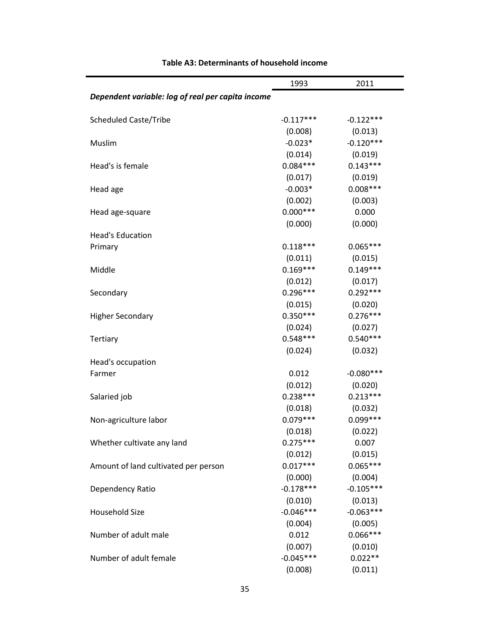|                                                   | 1993        | 2011        |
|---------------------------------------------------|-------------|-------------|
| Dependent variable: log of real per capita income |             |             |
| <b>Scheduled Caste/Tribe</b>                      | $-0.117***$ | $-0.122***$ |
|                                                   | (0.008)     | (0.013)     |
| Muslim                                            | $-0.023*$   | $-0.120***$ |
|                                                   | (0.014)     | (0.019)     |
| Head's is female                                  | $0.084***$  | $0.143***$  |
|                                                   | (0.017)     | (0.019)     |
| Head age                                          | $-0.003*$   | $0.008***$  |
|                                                   | (0.002)     | (0.003)     |
| Head age-square                                   | $0.000***$  | 0.000       |
|                                                   | (0.000)     | (0.000)     |
| <b>Head's Education</b>                           |             |             |
| Primary                                           | $0.118***$  | $0.065***$  |
|                                                   | (0.011)     | (0.015)     |
| Middle                                            | $0.169***$  | $0.149***$  |
|                                                   | (0.012)     | (0.017)     |
| Secondary                                         | $0.296***$  | $0.292***$  |
|                                                   | (0.015)     | (0.020)     |
| <b>Higher Secondary</b>                           | $0.350***$  | $0.276***$  |
|                                                   | (0.024)     | (0.027)     |
| <b>Tertiary</b>                                   | $0.548***$  | $0.540***$  |
|                                                   | (0.024)     | (0.032)     |
| Head's occupation                                 |             |             |
| Farmer                                            | 0.012       | $-0.080***$ |
|                                                   | (0.012)     | (0.020)     |
| Salaried job                                      | $0.238***$  | $0.213***$  |
|                                                   | (0.018)     | (0.032)     |
| Non-agriculture labor                             | $0.079***$  | $0.099***$  |
|                                                   | (0.018)     | (0.022)     |
| Whether cultivate any land                        | $0.275***$  | 0.007       |
|                                                   | (0.012)     | (0.015)     |
| Amount of land cultivated per person              | $0.017***$  | $0.065***$  |
|                                                   | (0.000)     | (0.004)     |
| Dependency Ratio                                  | $-0.178***$ | $-0.105***$ |
|                                                   | (0.010)     | (0.013)     |
| Household Size                                    | $-0.046***$ | $-0.063***$ |
|                                                   | (0.004)     | (0.005)     |
| Number of adult male                              | 0.012       | $0.066***$  |
|                                                   | (0.007)     | (0.010)     |
| Number of adult female                            | $-0.045***$ | $0.022**$   |
|                                                   | (0.008)     | (0.011)     |

### **Table A3: Determinants of household income**